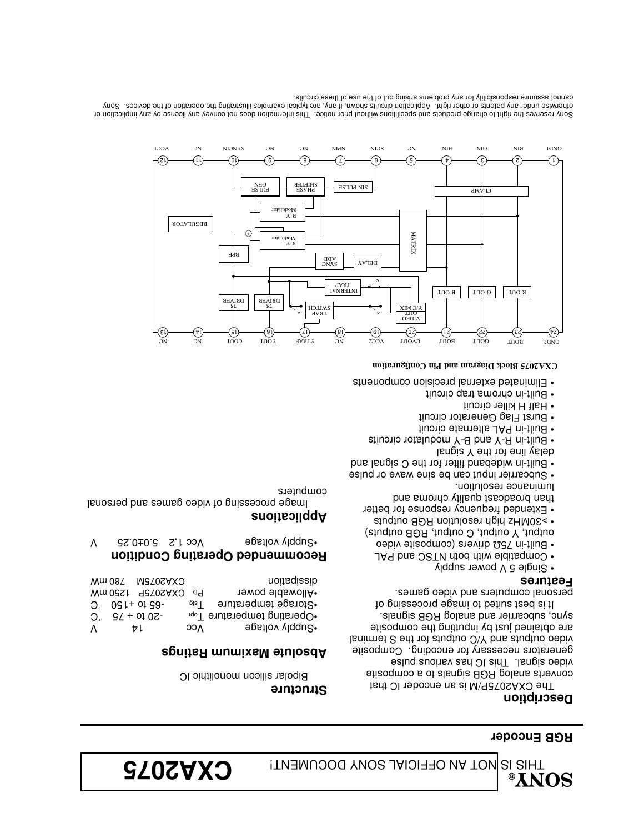THIS IS NOT AN OFFICIAL SONY DOCUMENT!  $\mathbf{C}\mathbf{X}\mathbf{X}\mathbf{S}$ 

#### **RGB Encoder**

#### **Description**

The CXA2075P/M is an encoder IC that converts analog RGB signals to a composite video signal. This IC has various pulse generators necessary for encoding. Composite lsnim at 2 edt 10t atuqtuo O\Y bns atuqtuo oebiv are obtained just by inputting the composite sync, subcarrier and analog RGB signals. It is best suited to image processing of

personal computers and video games.

#### **Features**

- Single 5 V power supply
- Compatible with both NTSC and PAL
- Built-in 75Ω drivers (composite video
- output, Y output, C output, RGB outputs)
- >30MHz high resolution RGB outputs
- Extended frequency response for better than broadcast quality chroma and
- luminance resolution. • Subcarrier input can be sine wave or pulse
- Built-in wideband filter for the C signal and
- delay line for the Y signal
- Built-in R-Y and B-Y modulator circuits
- Built-in PAL alternate circuit
- Burst Flag Generator circuit
- Half H killer circuit
- Built-in chroma trap circuit
- Eliminated external precision components

#### **CXA2075 Block Diagram and Pin Configuration**



Sony reserves the right to change products and specifitions without prior notice. This information does not convey any license by any implication or otherwise under any patents or other right. Application circuits shown, if any, are typical examples illustrating the operation of the devices. Sony cannot assumre responsibility for any problems arising out of the use of these circuits.

## **Structure**

Bipolar silicon monolithic IC

### **Absolute Maximum Ratings**

|          | Wm 087 NGT0SAXO  |       | dissiparion                             |
|----------|------------------|-------|-----------------------------------------|
|          | CXA2075P 1250 mW | ہ0    | *Allowable power                        |
|          | $2.091 + 0199$   | l etg | .Storage temperature                    |
| $\Omega$ | $9/ + 0102 -$    |       | •Operating temperature l <sub>opr</sub> |
| Λ        | ŧι               | ၁၁႔   | •Supply voltage                         |
|          |                  |       |                                         |

## **Recommended Operating Condition**

Vcc 1,5 °C.0±0.5 Set 1,2 5.0±0.25 V

## **Applications**

Image processing of video games and personal computers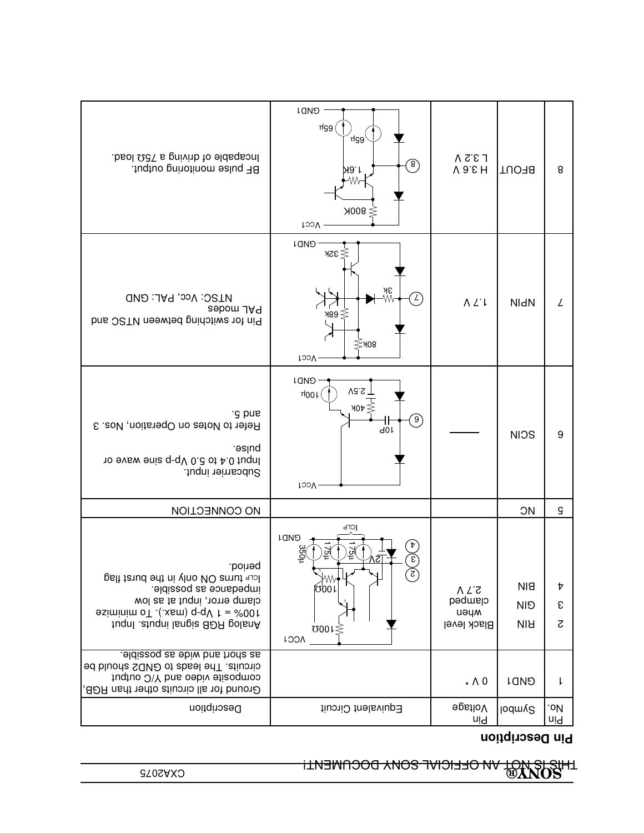CXA2075 **SONY®** THIS IS NOT AN OFFICIAL SONY DOCUMENT!

## **Pin Description**

| baol QCT a gnivinb to eldageonl<br>BF pulse monitoring output.                                                                                                                         | <b>LOND</b><br>ng9<br>์ngg<br>$\binom{8}{ }$<br>19. L<br>W∼<br>$≥$ 800K<br>Vcc1                    | $\sqrt{2.2}$<br>V 9.5 H                       | <b>TUOH8</b>                                      | 8                     |
|----------------------------------------------------------------------------------------------------------------------------------------------------------------------------------------|----------------------------------------------------------------------------------------------------|-----------------------------------------------|---------------------------------------------------|-----------------------|
| <b>UTSC: Vcc, PAL: GND</b><br>PAL modes<br>Pin for switching between NTSC and                                                                                                          | <b>GND1</b><br><b>32k</b><br>зк<br>∕∕∧<br>$\mathcal{L}$<br>≯89 ≶<br>$\lessgtr$ 108<br><b>Vcc1</b>  | $\Lambda$ $\angle$ $\downarrow$               | <b>NI<sub>d</sub>N</b>                            | L                     |
| g pue<br>Refer to Notes on Operation, Nos. 3<br>esluq.<br>10 9VBW 9nis q-qV 0.8 of 4.0 fuqul<br>Subcarrier input.                                                                      | <b>CIND1</b><br>Vc.S<br>$\mu$ 00 $\mu$<br>$90t \leq$<br>်ခ)<br>40 <sub>1</sub><br><b>LOOV</b>      |                                               | <b>NIOS</b>                                       | 9                     |
| <b>NO CONNECTION</b>                                                                                                                                                                   |                                                                                                    |                                               | <b>JIC</b>                                        | $\mathsf S$           |
| .boineq.<br>lcrP turns ON only in the burst flag<br>impedance as possible.<br>clamp error, input at as low<br>$\sigma$ + 1 Vp-p (max.). To minimize<br>fuqnl .etuqni langie 80R golanA | <b>ICFЬ</b><br><b>LOND</b><br>언<br>cл<br>$\mathbf{c}$<br>∤₩₩<br><b>0001</b><br>0001<br><b>VCC1</b> | 5.7V<br>clamped<br>иәцм<br><b>Black level</b> | <b>BIN</b><br><b>NI<sub>D</sub></b><br><b>NIH</b> | Þ<br>ε<br>$\varsigma$ |
| as short and wide as possible.<br>ed bluona SAND of abas lo Giuonic<br>tuqtuo O\Y bns oebiv etizoqmoo<br>Ground for all circuits other than RGB,                                       |                                                                                                    | $* \wedge 0$                                  | <b>CIND1</b>                                      | Ł                     |
| Description                                                                                                                                                                            | Equivalent Circuit                                                                                 | 9pstloV<br>uld                                | lodmy <sup>2</sup>                                | .oV<br>uld            |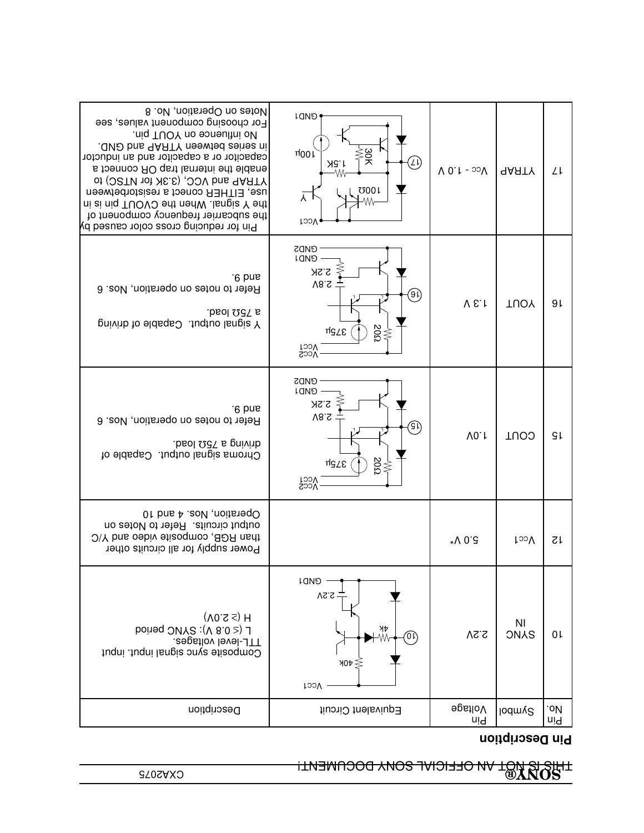LI<del>NIS IS NOT VIO OLEICIVI DOCNIENI.<br>SZOZAZ®</del>

**Pin Description**

| Notes on Operation, No. 8<br>For choosing component values, see<br>.niq TUOY no sonsultni oN<br>. OND bns AARTY neewted zeitez ni<br>capacitor or a capacitor and an inductor<br>e to the internal trap OR connect a<br>of (OSTN 101 XE.E), OCV bus 9ARTY<br>use, EITHER conect a resistorbetween<br>ni zi niq TUOVO ent nenW . Isngiz Y ent<br>the subcarrier frequency component of<br>Pin for reducing cross color caused by | <b>GNDI</b><br>30K<br>$\frac{\pi}{100}$<br>ΊÌ<br><b>AG.1</b><br>-Wv<br>000 <sub>1</sub><br>ᅎ<br>Vcc1                                             | $V_{CC}$ - 1.0 V | <b>AARTY</b>                  | ΥĻ             |
|---------------------------------------------------------------------------------------------------------------------------------------------------------------------------------------------------------------------------------------------------------------------------------------------------------------------------------------------------------------------------------------------------------------------------------|--------------------------------------------------------------------------------------------------------------------------------------------------|------------------|-------------------------------|----------------|
| '6 pue<br>Refer to notes on operation, Nos. 6<br>a 750 load.<br>pnivith to eldsqs Juqtuo langis Y                                                                                                                                                                                                                                                                                                                               | <b>GND2</b><br><b>COND</b><br>2.2K<br>$\sqrt{8.2}$<br>(9)<br>$\stackrel{\textstyle{>}}{\approx}$<br>α75μ<br>Vcc2<br>Vcc2                         | V E.             | <b>TUOY</b>                   | 9 <sub>l</sub> |
| $-6$ pue<br>Refer to notes on operation, Nos. 6<br>baol 227 a gnivinb.<br>Chroma signal output. Capable of                                                                                                                                                                                                                                                                                                                      | <b>GND2</b><br><b>COND</b><br>2.2K<br>$\sqrt{8.2}$<br>٩ì)<br>$\mathop{\rm SO}^\vee_\mathrm{SO}$<br>αJPu<br><b>T<sub>OO</sub>V</b><br><b>Vcc2</b> | V0.1             | COUT                          | ۹Ļ             |
| Operation, Nos. 4 and 10<br>output circuits. Refer to Notes on<br>1han RGB, composite video and Y/C<br>Power supply for all circuits other                                                                                                                                                                                                                                                                                      |                                                                                                                                                  | *V 0.8           | <b>LooV</b>                   | 12             |
| $(10.5 \leq)$ H<br>L (< 0.8 V): SYNC period<br>I I L-level voltages.<br>Composite sync signal input. inqui                                                                                                                                                                                                                                                                                                                      | CAD1<br>VS.S<br>λÞ<br>$\widehat{\mathbb{O}}$<br>-Ŵ<br>$\forall 0 \forall \leq$<br><b>Vcc1</b>                                                    | 2.2V             | N <sub>l</sub><br><b>ONAS</b> | 0 <sub>l</sub> |
| Description                                                                                                                                                                                                                                                                                                                                                                                                                     | Equivalent Circuit                                                                                                                               | 9psiloV<br>uld   | lodmy <sup>2</sup>            | .oИ<br>uld     |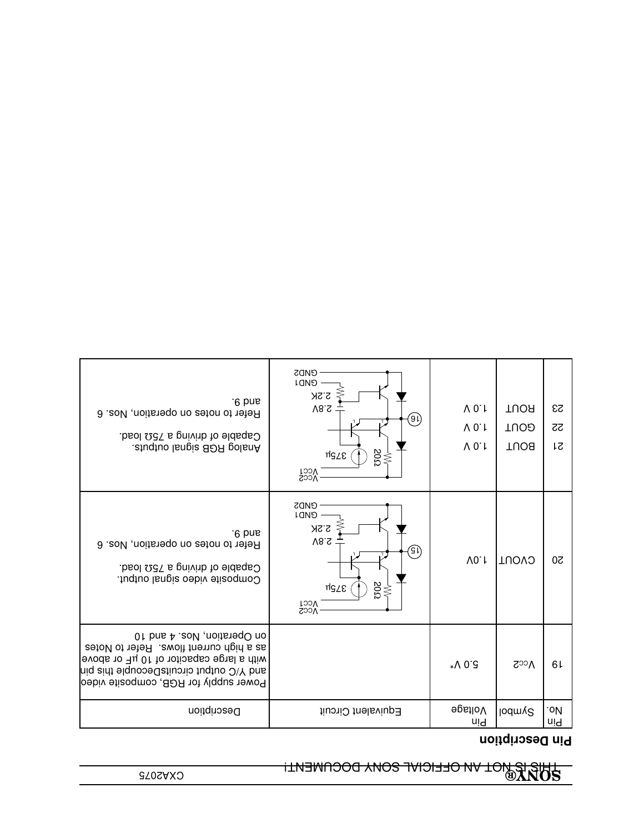# **CONA® IS NOT AN OFFICIAL SONY DOCUMENT!<br>BON<b>A®**<br>This is not a set of the sony document!

## **Pin Description**

| '6 pue<br>Refer to notes on operation, Nos. 6<br>Capable of driving a 750 load.<br>.etuqtuo langia 80R golanA                                                                                            | <b>GND2</b><br><b>GND1</b><br>2.2K<br>$\sqrt{8.2}$<br>(91)<br>$\genfrac{}{}{0pt}{}{\diamond}{\diamond}{\diamond}$<br>αJPu<br>Vcc2 | $V$ 0.1<br>$V$ 0.1<br>$V$ 0.1 | <b>TUOR</b><br><b>GOUT</b><br><b>TUO8</b> | 23<br>52<br>1S |
|----------------------------------------------------------------------------------------------------------------------------------------------------------------------------------------------------------|-----------------------------------------------------------------------------------------------------------------------------------|-------------------------------|-------------------------------------------|----------------|
| $-6$ pue<br>Refer to notes on operation, Nos. 6<br>Capable of driving a 750 load.<br>Composite video signal output.                                                                                      | <b>GND2</b><br><b>GND1</b><br>2.2K<br>$\sqrt{8.5}$<br>GI)<br>$rac{50}{50}$<br>αJPμ<br>Vcc2                                        | V0.1                          | CVOUT                                     | 20             |
| 01 Dns A .eoV , noits and 10<br>as a high current flows. Refer to Notes<br>with a large capacitor of 10 µF or above<br>and Y/C output circuitsDecouple this pin<br>Power supply for RGB, composite video |                                                                                                                                   | 5∶0 √∗                        | $\Lambda$ cc <sub>2</sub>                 | 61             |
| Description                                                                                                                                                                                              | Equivalent Circuit                                                                                                                | 9gstloV<br>uid                | lodmy <sup>2</sup>                        | .oИ<br>uid     |